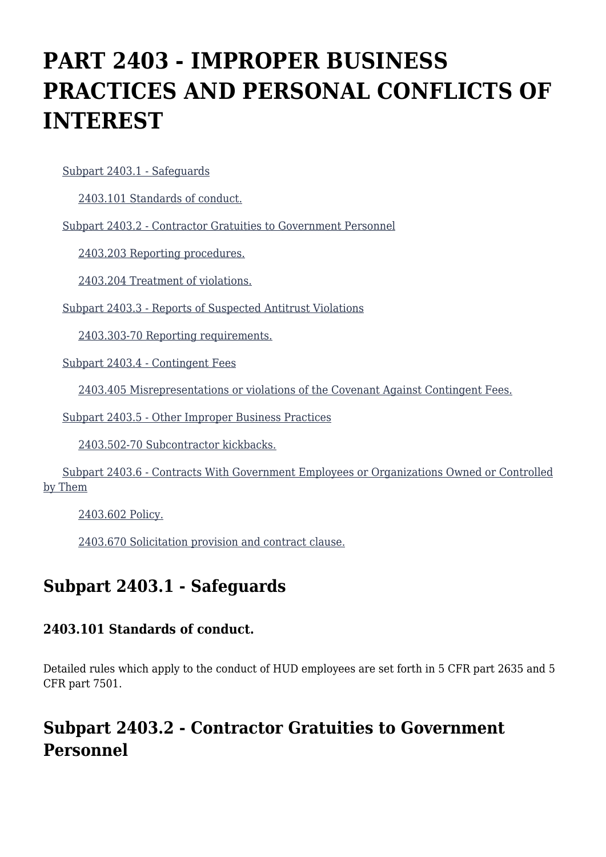# **PART 2403 - IMPROPER BUSINESS PRACTICES AND PERSONAL CONFLICTS OF INTEREST**

[Subpart 2403.1 - Safeguards](https://origin-www.acquisition.gov/%5Brp:link:hudar-part-2403%5D#Subpart_2403_1_T48_6094841)

[2403.101 Standards of conduct.](https://origin-www.acquisition.gov/%5Brp:link:hudar-part-2403%5D#Section_2403_101_T48_609484111)

[Subpart 2403.2 - Contractor Gratuities to Government Personnel](https://origin-www.acquisition.gov/%5Brp:link:hudar-part-2403%5D#Subpart_2403_2_T48_6094842)

[2403.203 Reporting procedures.](https://origin-www.acquisition.gov/%5Brp:link:hudar-part-2403%5D#Section_2403_203_T48_609484211)

[2403.204 Treatment of violations.](https://origin-www.acquisition.gov/%5Brp:link:hudar-part-2403%5D#Section_2403_204_T48_609484212)

[Subpart 2403.3 - Reports of Suspected Antitrust Violations](https://origin-www.acquisition.gov/%5Brp:link:hudar-part-2403%5D#Subpart_2403_3_T48_6094843)

[2403.303-70 Reporting requirements.](https://origin-www.acquisition.gov/%5Brp:link:hudar-part-2403%5D#Section_2403_303_70_T48_609484311)

[Subpart 2403.4 - Contingent Fees](https://origin-www.acquisition.gov/%5Brp:link:hudar-part-2403%5D#Subpart_2403_4_T48_6094844)

[2403.405 Misrepresentations or violations of the Covenant Against Contingent Fees.](https://origin-www.acquisition.gov/%5Brp:link:hudar-part-2403%5D#Section_2403_405_T48_609484411)

[Subpart 2403.5 - Other Improper Business Practices](https://origin-www.acquisition.gov/%5Brp:link:hudar-part-2403%5D#Subpart_2403_5_T48_6094845)

[2403.502-70 Subcontractor kickbacks.](https://origin-www.acquisition.gov/%5Brp:link:hudar-part-2403%5D#Section_2403_502_70_T48_609484511)

 [Subpart 2403.6 - Contracts With Government Employees or Organizations Owned or Controlled](https://origin-www.acquisition.gov/%5Brp:link:hudar-part-2403%5D#Subpart_2403_6_T48_6094846) [by Them](https://origin-www.acquisition.gov/%5Brp:link:hudar-part-2403%5D#Subpart_2403_6_T48_6094846)

[2403.602 Policy.](https://origin-www.acquisition.gov/%5Brp:link:hudar-part-2403%5D#Section_2403_602_T48_609484611)

[2403.670 Solicitation provision and contract clause.](https://origin-www.acquisition.gov/%5Brp:link:hudar-part-2403%5D#Section_2403_670_T48_609484612)

# **Subpart 2403.1 - Safeguards**

### **2403.101 Standards of conduct.**

Detailed rules which apply to the conduct of HUD employees are set forth in 5 CFR part 2635 and 5 CFR part 7501.

# **Subpart 2403.2 - Contractor Gratuities to Government Personnel**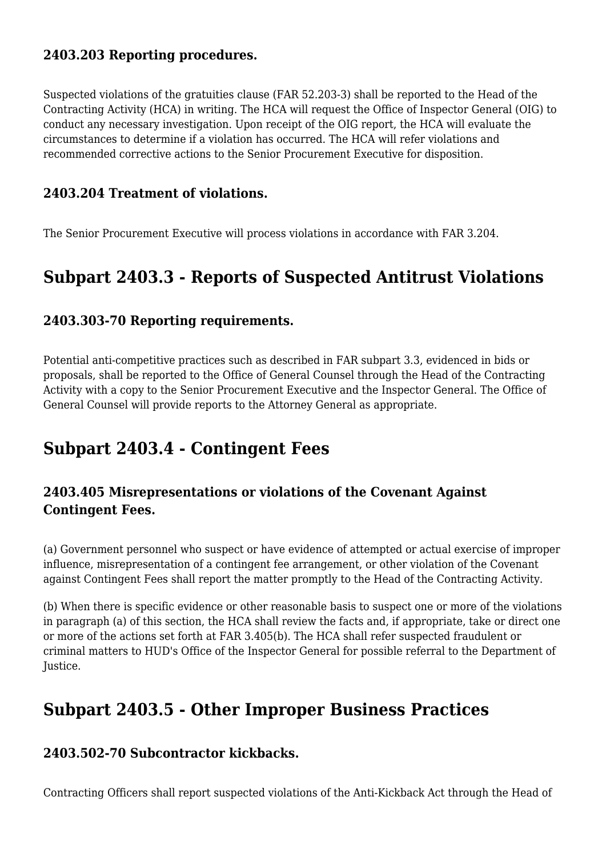### **2403.203 Reporting procedures.**

Suspected violations of the gratuities clause (FAR 52.203-3) shall be reported to the Head of the Contracting Activity (HCA) in writing. The HCA will request the Office of Inspector General (OIG) to conduct any necessary investigation. Upon receipt of the OIG report, the HCA will evaluate the circumstances to determine if a violation has occurred. The HCA will refer violations and recommended corrective actions to the Senior Procurement Executive for disposition.

### **2403.204 Treatment of violations.**

The Senior Procurement Executive will process violations in accordance with FAR 3.204.

### **Subpart 2403.3 - Reports of Suspected Antitrust Violations**

#### **2403.303-70 Reporting requirements.**

Potential anti-competitive practices such as described in FAR subpart 3.3, evidenced in bids or proposals, shall be reported to the Office of General Counsel through the Head of the Contracting Activity with a copy to the Senior Procurement Executive and the Inspector General. The Office of General Counsel will provide reports to the Attorney General as appropriate.

### **Subpart 2403.4 - Contingent Fees**

### **2403.405 Misrepresentations or violations of the Covenant Against Contingent Fees.**

(a) Government personnel who suspect or have evidence of attempted or actual exercise of improper influence, misrepresentation of a contingent fee arrangement, or other violation of the Covenant against Contingent Fees shall report the matter promptly to the Head of the Contracting Activity.

(b) When there is specific evidence or other reasonable basis to suspect one or more of the violations in paragraph (a) of this section, the HCA shall review the facts and, if appropriate, take or direct one or more of the actions set forth at FAR 3.405(b). The HCA shall refer suspected fraudulent or criminal matters to HUD's Office of the Inspector General for possible referral to the Department of Justice.

### **Subpart 2403.5 - Other Improper Business Practices**

#### **2403.502-70 Subcontractor kickbacks.**

Contracting Officers shall report suspected violations of the Anti-Kickback Act through the Head of